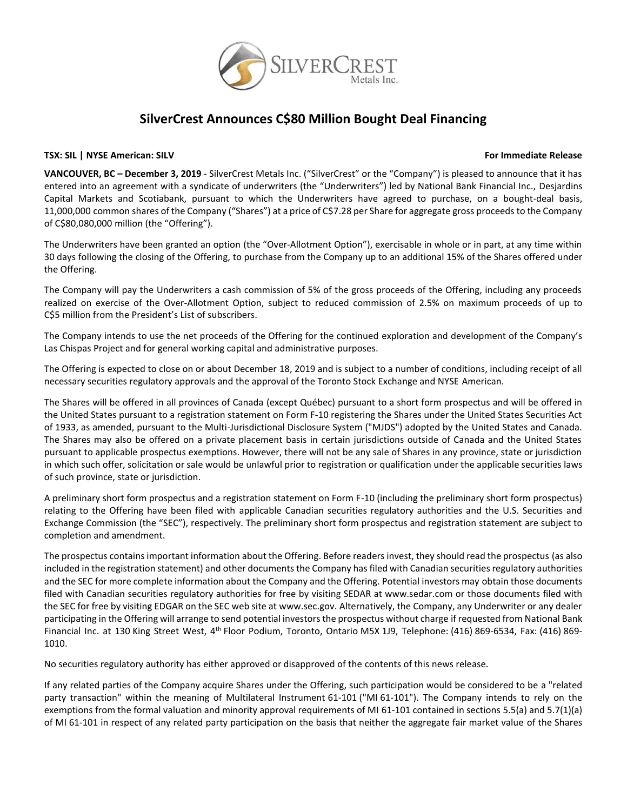

# **SilverCrest Announces C\$80 Million Bought Deal Financing**

# **TSX: SIL | NYSE American: SILV For Immediate Release**

**VANCOUVER, BC – December 3, 2019** - SilverCrest Metals Inc. ("SilverCrest" or the "Company") is pleased to announce that it has entered into an agreement with a syndicate of underwriters (the "Underwriters") led by National Bank Financial Inc., Desjardins Capital Markets and Scotiabank, pursuant to which the Underwriters have agreed to purchase, on a bought-deal basis, 11,000,000 common shares of the Company ("Shares") at a price of C\$7.28 per Share for aggregate gross proceeds to the Company of C\$80,080,000 million (the "Offering").

The Underwriters have been granted an option (the "Over-Allotment Option"), exercisable in whole or in part, at any time within 30 days following the closing of the Offering, to purchase from the Company up to an additional 15% of the Shares offered under the Offering.

The Company will pay the Underwriters a cash commission of 5% of the gross proceeds of the Offering, including any proceeds realized on exercise of the Over-Allotment Option, subject to reduced commission of 2.5% on maximum proceeds of up to C\$5 million from the President's List of subscribers.

The Company intends to use the net proceeds of the Offering for the continued exploration and development of the Company's Las Chispas Project and for general working capital and administrative purposes.

The Offering is expected to close on or about December 18, 2019 and is subject to a number of conditions, including receipt of all necessary securities regulatory approvals and the approval of the Toronto Stock Exchange and NYSE American.

The Shares will be offered in all provinces of Canada (except Québec) pursuant to a short form prospectus and will be offered in the United States pursuant to a registration statement on Form F-10 registering the Shares under the United States Securities Act of 1933, as amended, pursuant to the Multi-Jurisdictional Disclosure System ("MJDS") adopted by the United States and Canada. The Shares may also be offered on a private placement basis in certain jurisdictions outside of Canada and the United States pursuant to applicable prospectus exemptions. However, there will not be any sale of Shares in any province, state or jurisdiction in which such offer, solicitation or sale would be unlawful prior to registration or qualification under the applicable securities laws of such province, state or jurisdiction.

A preliminary short form prospectus and a registration statement on Form F-10 (including the preliminary short form prospectus) relating to the Offering have been filed with applicable Canadian securities regulatory authorities and the U.S. Securities and Exchange Commission (the "SEC"), respectively. The preliminary short form prospectus and registration statement are subject to completion and amendment.

The prospectus contains important information about the Offering. Before readers invest, they should read the prospectus (as also included in the registration statement) and other documents the Company has filed with Canadian securities regulatory authorities and the SEC for more complete information about the Company and the Offering. Potential investors may obtain those documents filed with Canadian securities regulatory authorities for free by visiting SEDAR at www.sedar.com or those documents filed with the SEC for free by visiting EDGAR on the SEC web site at www.sec.gov. Alternatively, the Company, any Underwriter or any dealer participating in the Offering will arrange to send potential investors the prospectus without charge if requested from National Bank Financial Inc. at 130 King Street West, 4<sup>th</sup> Floor Podium, Toronto, Ontario M5X 1J9, Telephone: (416) 869-6534, Fax: (416) 869-1010.

No securities regulatory authority has either approved or disapproved of the contents of this news release.

If any related parties of the Company acquire Shares under the Offering, such participation would be considered to be a "related party transaction" within the meaning of Multilateral Instrument 61-101 ("MI 61-101"). The Company intends to rely on the exemptions from the formal valuation and minority approval requirements of MI 61-101 contained in sections 5.5(a) and 5.7(1)(a) of MI 61-101 in respect of any related party participation on the basis that neither the aggregate fair market value of the Shares